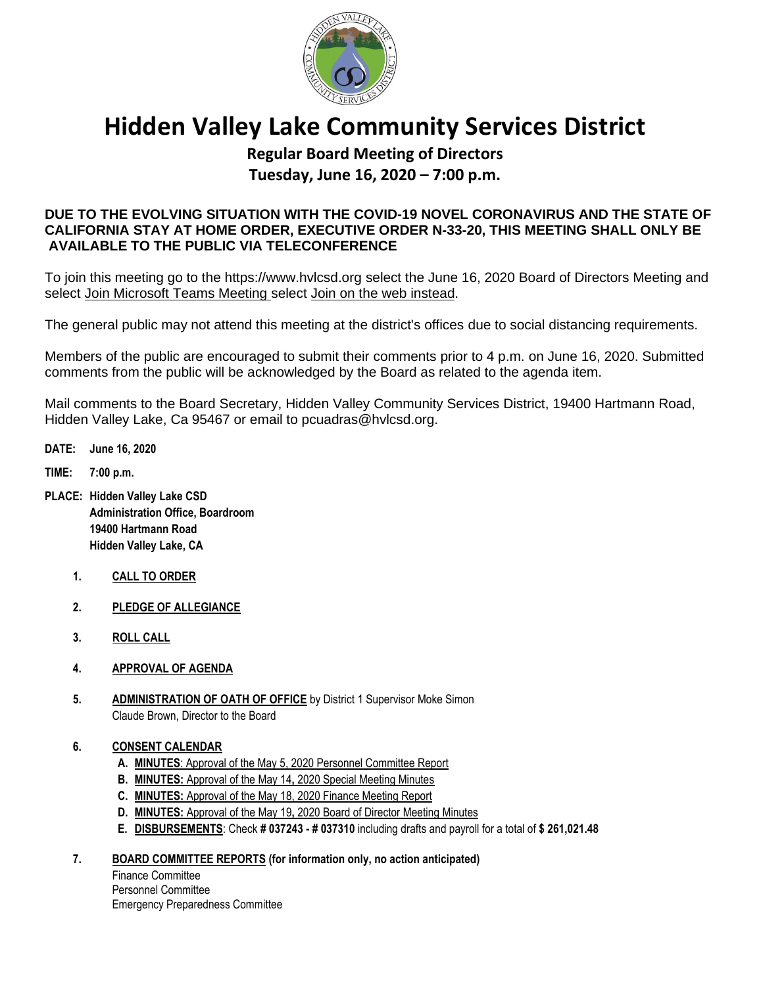

# **Hidden Valley Lake Community Services District**

# **Regular Board Meeting of Directors Tuesday, June 16, 2020 – 7:00 p.m.**

# **DUE TO THE EVOLVING SITUATION WITH THE COVID-19 NOVEL CORONAVIRUS AND THE STATE OF CALIFORNIA STAY AT HOME ORDER, EXECUTIVE ORDER N-33-20, THIS MEETING SHALL ONLY BE AVAILABLE TO THE PUBLIC VIA TELECONFERENCE**

To join this meeting go to the [https://www.hvlcsd.org](https://www.hvlcsd.org/) select the June 16, 2020 Board of Directors Meeting and select Join Microsoft Teams Meeting select Join on the web instead.

The general public may not attend this meeting at the district's offices due to social distancing requirements.

Members of the public are encouraged to submit their comments prior to 4 p.m. on June 16, 2020. Submitted comments from the public will be acknowledged by the Board as related to the agenda item.

Mail comments to the Board Secretary, Hidden Valley Community Services District, 19400 Hartmann Road, Hidden Valley Lake, Ca 95467 or email to pcuadras@hvlcsd.org.

- **DATE: June 16, 2020**
- **TIME: 7:00 p.m.**
- **PLACE: Hidden Valley Lake CSD Administration Office, Boardroom 19400 Hartmann Road Hidden Valley Lake, CA** 
	- **1. CALL TO ORDER**
	- **2. PLEDGE OF ALLEGIANCE**
	- **3. ROLL CALL**
	- **4. APPROVAL OF AGENDA**
	- **5. ADMINISTRATION OF OATH OF OFFICE** by District 1 Supervisor Moke Simon Claude Brown, Director to the Board
	- **6. CONSENT CALENDAR**
		- **A. MINUTES**: Approval of the May 5, 2020 Personnel Committee Report
		- **B. MINUTES:** Approval of the May 14**,** 2020 Special Meeting Minutes
		- **C. MINUTES:** Approval of the May 18, 2020 Finance Meeting Report
		- **D. MINUTES:** Approval of the May 19**,** 2020 Board of Director Meeting Minutes
		- **E. DISBURSEMENTS**: Check **# 037243 - # 037310** including drafts and payroll for a total of **\$ 261,021.48**

# **7. BOARD COMMITTEE REPORTS (for information only, no action anticipated)**

Finance Committee Personnel Committee Emergency Preparedness Committee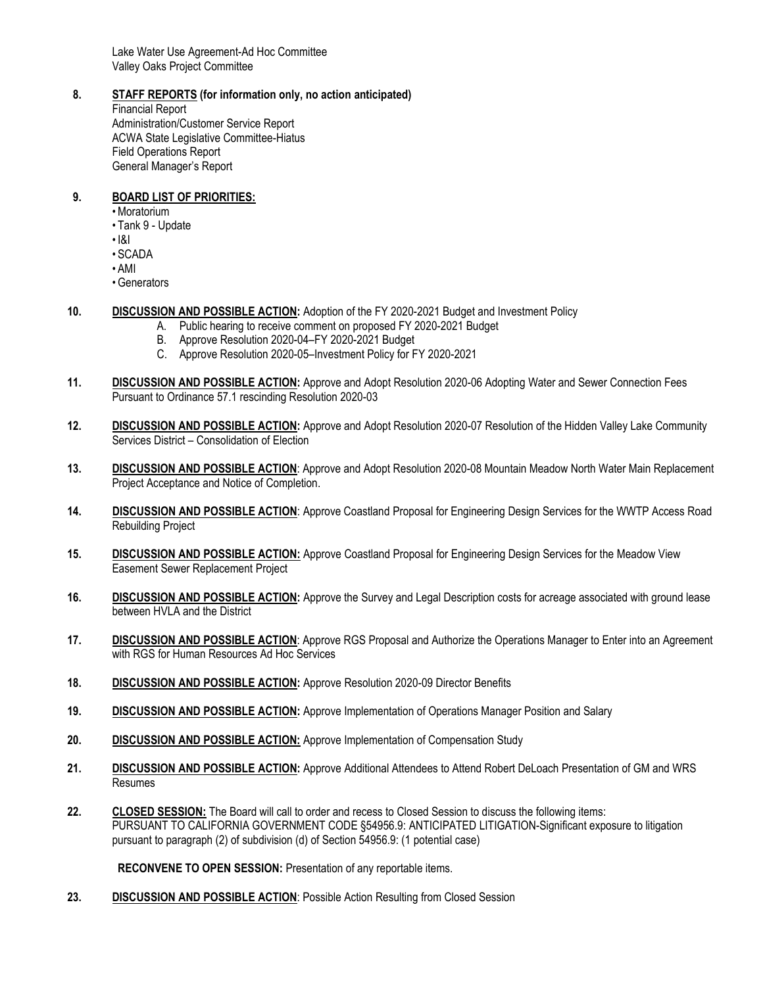Lake Water Use Agreement-Ad Hoc Committee Valley Oaks Project Committee

#### **8. STAFF REPORTS (for information only, no action anticipated)**

Financial Report Administration/Customer Service Report ACWA State Legislative Committee-Hiatus Field Operations Report General Manager's Report

#### **9. BOARD LIST OF PRIORITIES:**

- Moratorium
- Tank 9 Update
- I&I
- SCADA
- AMI
- Generators
- **10. DISCUSSION AND POSSIBLE ACTION:** Adoption of the FY 2020-2021 Budget and Investment Policy
	- A. Public hearing to receive comment on proposed FY 2020-2021 Budget
	- B. Approve Resolution 2020-04–FY 2020-2021 Budget
	- C. Approve Resolution 2020-05–Investment Policy for FY 2020-2021
- **11. DISCUSSION AND POSSIBLE ACTION:** Approve and Adopt Resolution 2020-06 Adopting Water and Sewer Connection Fees Pursuant to Ordinance 57.1 rescinding Resolution 2020-03
- **12. DISCUSSION AND POSSIBLE ACTION:** Approve and Adopt Resolution 2020-07 Resolution of the Hidden Valley Lake Community Services District – Consolidation of Election
- **13. DISCUSSION AND POSSIBLE ACTION**: Approve and Adopt Resolution 2020-08 Mountain Meadow North Water Main Replacement Project Acceptance and Notice of Completion.
- **14. DISCUSSION AND POSSIBLE ACTION**: Approve Coastland Proposal for Engineering Design Services for the WWTP Access Road Rebuilding Project
- **15. DISCUSSION AND POSSIBLE ACTION:** Approve Coastland Proposal for Engineering Design Services for the Meadow View Easement Sewer Replacement Project
- **16. DISCUSSION AND POSSIBLE ACTION:** Approve the Survey and Legal Description costs for acreage associated with ground lease between HVLA and the District
- **17. DISCUSSION AND POSSIBLE ACTION**: Approve RGS Proposal and Authorize the Operations Manager to Enter into an Agreement with RGS for Human Resources Ad Hoc Services
- **18. DISCUSSION AND POSSIBLE ACTION:** Approve Resolution 2020-09 Director Benefits
- **19. DISCUSSION AND POSSIBLE ACTION:** Approve Implementation of Operations Manager Position and Salary
- **20. DISCUSSION AND POSSIBLE ACTION:** Approve Implementation of Compensation Study
- **21. DISCUSSION AND POSSIBLE ACTION:** Approve Additional Attendees to Attend Robert DeLoach Presentation of GM and WRS Resumes
- **22. CLOSED SESSION:** The Board will call to order and recess to Closed Session to discuss the following items: PURSUANT TO CALIFORNIA GOVERNMENT CODE §54956.9: ANTICIPATED LITIGATION-Significant exposure to litigation pursuant to paragraph (2) of subdivision (d) of Section 54956.9: (1 potential case)

**RECONVENE TO OPEN SESSION:** Presentation of any reportable items.

**23. DISCUSSION AND POSSIBLE ACTION**: Possible Action Resulting from Closed Session